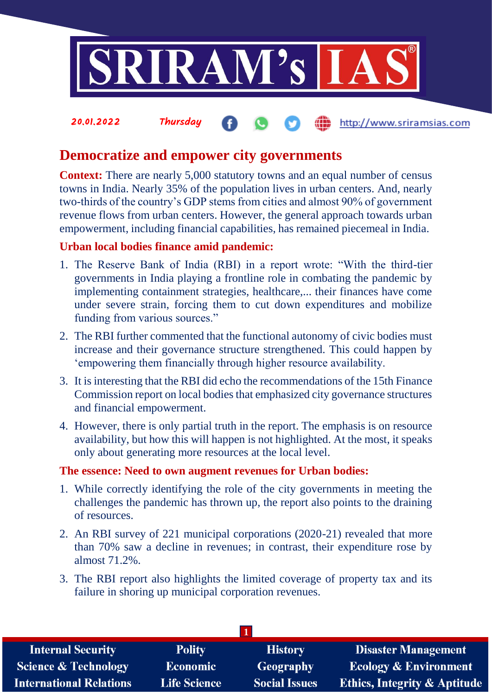

# **Democratize and empower city governments**

**Context:** There are nearly 5,000 statutory towns and an equal number of census towns in India. Nearly 35% of the population lives in urban centers. And, nearly two-thirds of the country's GDP stems from cities and almost 90% of government revenue flows from urban centers. However, the general approach towards urban empowerment, including financial capabilities, has remained piecemeal in India.

# **Urban local bodies finance amid pandemic:**

- 1. The Reserve Bank of India (RBI) in a report wrote: "With the third-tier governments in India playing a frontline role in combating the pandemic by implementing containment strategies, healthcare,... their finances have come under severe strain, forcing them to cut down expenditures and mobilize funding from various sources."
- 2. The RBI further commented that the functional autonomy of civic bodies must increase and their governance structure strengthened. This could happen by 'empowering them financially through higher resource availability.
- 3. It is interesting that the RBI did echo the recommendations of the 15th Finance Commission report on local bodies that emphasized city governance structures and financial empowerment.
- 4. However, there is only partial truth in the report. The emphasis is on resource availability, but how this will happen is not highlighted. At the most, it speaks only about generating more resources at the local level.

# **The essence: Need to own augment revenues for Urban bodies:**

- 1. While correctly identifying the role of the city governments in meeting the challenges the pandemic has thrown up, the report also points to the draining of resources.
- 2. An RBI survey of 221 municipal corporations (2020-21) revealed that more than 70% saw a decline in revenues; in contrast, their expenditure rose by almost 71.2%.
- 3. The RBI report also highlights the limited coverage of property tax and its failure in shoring up municipal corporation revenues.

| <b>Internal Security</b>        | <b>Polity</b>       | <b>History</b>       | <b>Disaster Management</b>              |
|---------------------------------|---------------------|----------------------|-----------------------------------------|
| <b>Science &amp; Technology</b> | <b>Economic</b>     | Geography            | <b>Ecology &amp; Environment</b>        |
| <b>International Relations</b>  | <b>Life Science</b> | <b>Social Issues</b> | <b>Ethics, Integrity &amp; Aptitude</b> |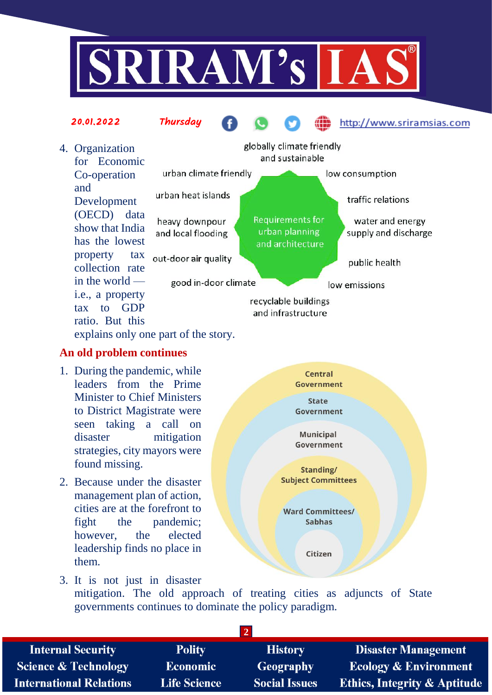



#### **An old problem continues**

- 1. During the pandemic, while leaders from the Prime Minister to Chief Ministers to District Magistrate were seen taking a call on disaster mitigation strategies, city mayors were found missing.
- 2. Because under the disaster management plan of action, cities are at the forefront to fight the pandemic; however, the elected leadership finds no place in them.



3. It is not just in disaster mitigation. The old approach of treating cities as adjuncts of State governments continues to dominate the policy paradigm.

| <b>Internal Security</b>        | <b>Polity</b>       | <b>History</b>       | <b>Disaster Management</b>              |
|---------------------------------|---------------------|----------------------|-----------------------------------------|
| <b>Science &amp; Technology</b> | <b>Economic</b>     | <b>Geography</b>     | <b>Ecology &amp; Environment</b>        |
| <b>International Relations</b>  | <b>Life Science</b> | <b>Social Issues</b> | <b>Ethics, Integrity &amp; Aptitude</b> |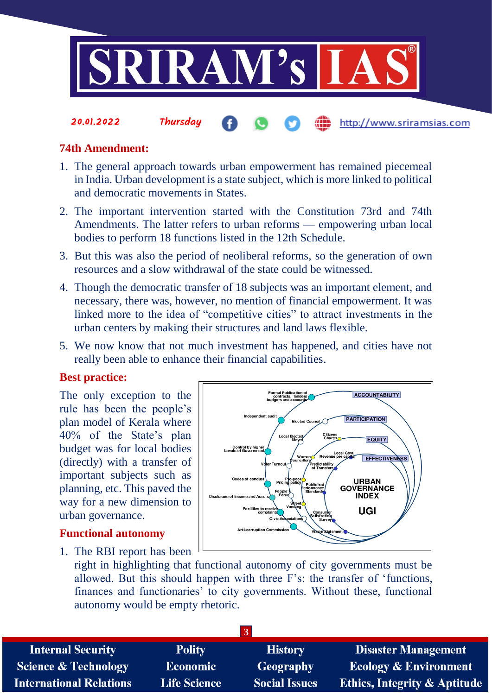

### **74th Amendment:**

20.01.2022 Thursday

- 1. The general approach towards urban empowerment has remained piecemeal in India. Urban development is a state subject, which is more linked to political and democratic movements in States.
- 2. The important intervention started with the Constitution 73rd and 74th Amendments. The latter refers to urban reforms — empowering urban local bodies to perform 18 functions listed in the 12th Schedule.
- 3. But this was also the period of neoliberal reforms, so the generation of own resources and a slow withdrawal of the state could be witnessed.
- 4. Though the democratic transfer of 18 subjects was an important element, and necessary, there was, however, no mention of financial empowerment. It was linked more to the idea of "competitive cities" to attract investments in the urban centers by making their structures and land laws flexible.
- 5. We now know that not much investment has happened, and cities have not really been able to enhance their financial capabilities.

#### **Best practice:**

The only exception to the rule has been the people's plan model of Kerala where 40% of the State's plan budget was for local bodies (directly) with a transfer of important subjects such as planning, etc. This paved the way for a new dimension to urban governance.

#### **Functional autonomy**

1. The RBI report has been



http://www.sriramsias.com

right in highlighting that functional autonomy of city governments must be allowed. But this should happen with three F's: the transfer of 'functions, finances and functionaries' to city governments. Without these, functional autonomy would be empty rhetoric.

| 3                               |                     |                      |                                         |
|---------------------------------|---------------------|----------------------|-----------------------------------------|
| <b>Internal Security</b>        | <b>Polity</b>       | <b>History</b>       | <b>Disaster Management</b>              |
| <b>Science &amp; Technology</b> | <b>Economic</b>     | <b>Geography</b>     | <b>Ecology &amp; Environment</b>        |
| <b>International Relations</b>  | <b>Life Science</b> | <b>Social Issues</b> | <b>Ethics, Integrity &amp; Aptitude</b> |
|                                 |                     |                      |                                         |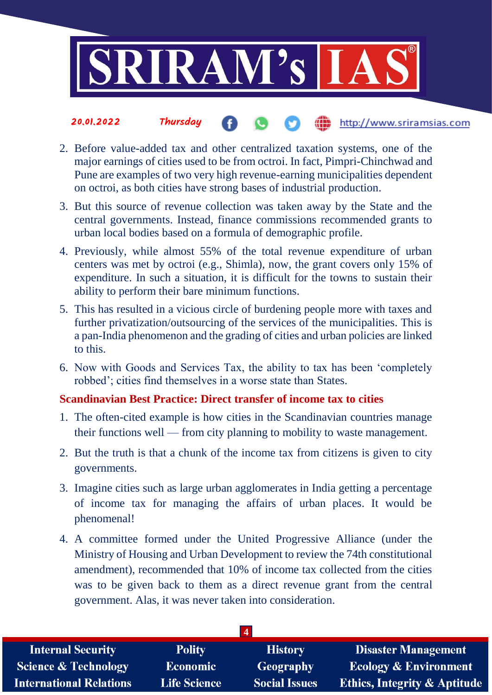

#### 20.01.2022 Thursday the http://www.sriramsias.com

- 2. Before value-added tax and other centralized taxation systems, one of the major earnings of cities used to be from octroi. In fact, Pimpri-Chinchwad and Pune are examples of two very high revenue-earning municipalities dependent on octroi, as both cities have strong bases of industrial production.
- 3. But this source of revenue collection was taken away by the State and the central governments. Instead, finance commissions recommended grants to urban local bodies based on a formula of demographic profile.
- 4. Previously, while almost 55% of the total revenue expenditure of urban centers was met by octroi (e.g., Shimla), now, the grant covers only 15% of expenditure. In such a situation, it is difficult for the towns to sustain their ability to perform their bare minimum functions.
- 5. This has resulted in a vicious circle of burdening people more with taxes and further privatization/outsourcing of the services of the municipalities. This is a pan-India phenomenon and the grading of cities and urban policies are linked to this.
- 6. Now with Goods and Services Tax, the ability to tax has been 'completely robbed'; cities find themselves in a worse state than States.

# **Scandinavian Best Practice: Direct transfer of income tax to cities**

- 1. The often-cited example is how cities in the Scandinavian countries manage their functions well — from city planning to mobility to waste management.
- 2. But the truth is that a chunk of the income tax from citizens is given to city governments.
- 3. Imagine cities such as large urban agglomerates in India getting a percentage of income tax for managing the affairs of urban places. It would be phenomenal!
- 4. A committee formed under the United Progressive Alliance (under the Ministry of Housing and Urban Development to review the 74th constitutional amendment), recommended that 10% of income tax collected from the cities was to be given back to them as a direct revenue grant from the central government. Alas, it was never taken into consideration.

| <b>Internal Security</b>        | <b>Polity</b>       | <b>History</b>       | <b>Disaster Management</b>              |
|---------------------------------|---------------------|----------------------|-----------------------------------------|
| <b>Science &amp; Technology</b> | <b>Economic</b>     | Geography            | <b>Ecology &amp; Environment</b>        |
| <b>International Relations</b>  | <b>Life Science</b> | <b>Social Issues</b> | <b>Ethics, Integrity &amp; Aptitude</b> |